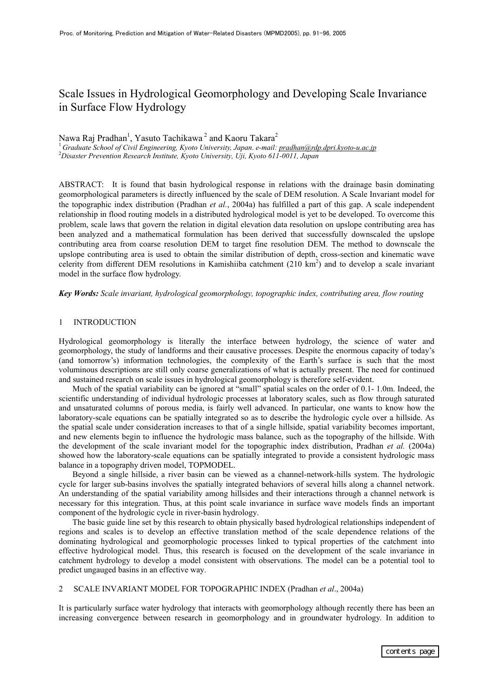# Scale Issues in Hydrological Geomorphology and Developing Scale Invariance in Surface Flow Hydrology

Nawa Raj Pradhan<sup>1</sup>, Yasuto Tachikawa<sup>2</sup> and Kaoru Takara<sup>2</sup>

<sup>1</sup>*Graduate School of Civil Engineering, Kyoto University, Japan*. *e-mail: pradhan@rdp.dpri.kyoto-u.ac.jp*<sup>2</sup> *Disaster Prevention Research Institute, Kyoto University, Uji, Kyoto 611-0011, Japan*

ABSTRACT: It is found that basin hydrological response in relations with the drainage basin dominating geomorphological parameters is directly influenced by the scale of DEM resolution. A Scale Invariant model for the topographic index distribution (Pradhan *et al.*, 2004a) has fulfilled a part of this gap. A scale independent relationship in flood routing models in a distributed hydrological model is yet to be developed. To overcome this problem, scale laws that govern the relation in digital elevation data resolution on upslope contributing area has been analyzed and a mathematical formulation has been derived that successfully downscaled the upslope contributing area from coarse resolution DEM to target fine resolution DEM. The method to downscale the upslope contributing area is used to obtain the similar distribution of depth, cross-section and kinematic wave celerity from different DEM resolutions in Kamishiiba catchment  $(210 \text{ km}^2)$  and to develop a scale invariant model in the surface flow hydrology.

*Key Words: Scale invariant, hydrological geomorphology, topographic index, contributing area, flow routing* 

# 1 INTRODUCTION

Hydrological geomorphology is literally the interface between hydrology, the science of water and geomorphology, the study of landforms and their causative processes. Despite the enormous capacity of today's (and tomorrow's) information technologies, the complexity of the Earth's surface is such that the most voluminous descriptions are still only coarse generalizations of what is actually present. The need for continued and sustained research on scale issues in hydrological geomorphology is therefore self-evident.

Much of the spatial variability can be ignored at "small" spatial scales on the order of 0.1-1.0m. Indeed, the scientific understanding of individual hydrologic processes at laboratory scales, such as flow through saturated and unsaturated columns of porous media, is fairly well advanced. In particular, one wants to know how the laboratory-scale equations can be spatially integrated so as to describe the hydrologic cycle over a hillside. As the spatial scale under consideration increases to that of a single hillside, spatial variability becomes important, and new elements begin to influence the hydrologic mass balance, such as the topography of the hillside. With the development of the scale invariant model for the topographic index distribution, Pradhan *et al.* (2004a) showed how the laboratory-scale equations can be spatially integrated to provide a consistent hydrologic mass balance in a topography driven model, TOPMODEL.

Beyond a single hillside, a river basin can be viewed as a channel-network-hills system. The hydrologic cycle for larger sub-basins involves the spatially integrated behaviors of several hills along a channel network. An understanding of the spatial variability among hillsides and their interactions through a channel network is necessary for this integration. Thus, at this point scale invariance in surface wave models finds an important component of the hydrologic cycle in river-basin hydrology.

The basic guide line set by this research to obtain physically based hydrological relationships independent of regions and scales is to develop an effective translation method of the scale dependence relations of the dominating hydrological and geomorphologic processes linked to typical properties of the catchment into effective hydrological model. Thus, this research is focused on the development of the scale invariance in catchment hydrology to develop a model consistent with observations. The model can be a potential tool to predict ungauged basins in an effective way.

# 2 SCALE INVARIANT MODEL FOR TOPOGRAPHIC INDEX (Pradhan *et al*., 2004a)

It is particularly surface water hydrology that interacts with geomorphology although recently there has been an increasing convergence between research in geomorphology and in groundwater hydrology. In addition to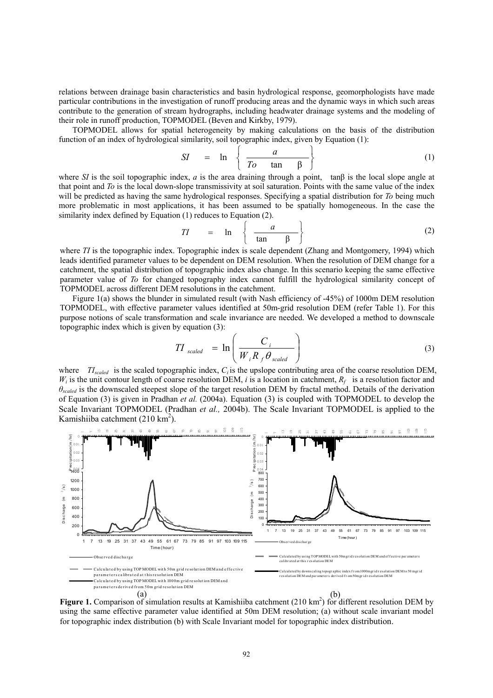relations between drainage basin characteristics and basin hydrological response, geomorphologists have made particular contributions in the investigation of runoff producing areas and the dynamic ways in which such areas contribute to the generation of stream hydrographs, including headwater drainage systems and the modeling of their role in runoff production, TOPMODEL (Beven and Kirkby, 1979).

TOPMODEL allows for spatial heterogeneity by making calculations on the basis of the distribution function of an index of hydrological similarity, soil topographic index, given by Equation (1):

$$
SI = \ln \left\{ \frac{a}{To \tan \beta} \right\} \tag{1}
$$

where *SI* is the soil topographic index, *a* is the area draining through a point, tan $\beta$  is the local slope angle at that point and *To* is the local down-slope transmissivity at soil saturation. Points with the same value of the index will be predicted as having the same hydrological responses. Specifying a spatial distribution for *To* being much more problematic in most applications, it has been assumed to be spatially homogeneous. In the case the similarity index defined by Equation (1) reduces to Equation (2).

$$
TI = \ln \left\{ \frac{a}{\tan \beta} \right\} \tag{2}
$$

where *TI* is the topographic index. Topographic index is scale dependent (Zhang and Montgomery, 1994) which leads identified parameter values to be dependent on DEM resolution. When the resolution of DEM change for a catchment, the spatial distribution of topographic index also change. In this scenario keeping the same effective parameter value of *To* for changed topography index cannot fulfill the hydrological similarity concept of TOPMODEL across different DEM resolutions in the catchment.

Figure 1(a) shows the blunder in simulated result (with Nash efficiency of -45%) of 1000m DEM resolution TOPMODEL, with effective parameter values identified at 50m-grid resolution DEM (refer Table 1). For this purpose notions of scale transformation and scale invariance are needed. We developed a method to downscale topographic index which is given by equation (3):

$$
TI_{scaled} = \ln\left(\frac{C_i}{W_i R_f \theta_{scaled}}\right)
$$
\n(3)

where  $T_{scaled}$  is the scaled topographic index,  $C_i$  is the upslope contributing area of the coarse resolution DEM,  $W_i$  is the unit contour length of coarse resolution DEM, *i* is a location in catchment,  $R_f$  is a resolution factor and *θscaled* is the downscaled steepest slope of the target resolution DEM by fractal method. Details of the derivation of Equation (3) is given in Pradhan *et al.* (2004a). Equation (3) is coupled with TOPMODEL to develop the Scale Invariant TOPMODEL (Pradhan *et al.,* 2004b). The Scale Invariant TOPMODEL is applied to the Kamishiiba catchment  $(210 \text{ km}^2)$ .



using the same effective parameter value identified at 50m DEM resolution; (a) without scale invariant model for topographic index distribution (b) with Scale Invariant model for topographic index distribution.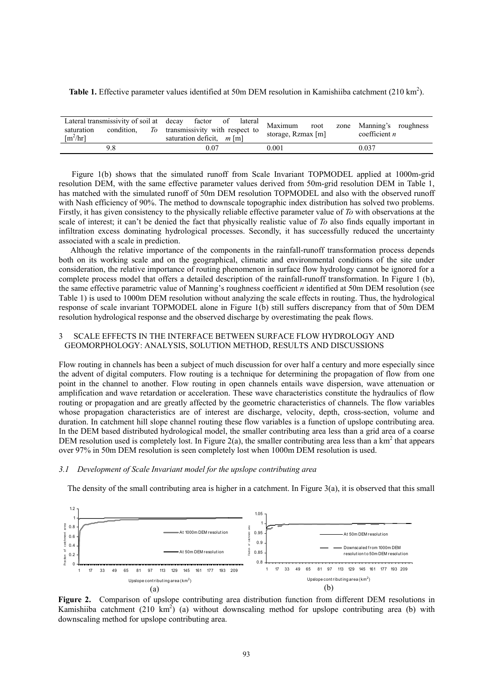|  |  | <b>Table 1.</b> Effective parameter values identified at 50m DEM resolution in Kamishiiba catchment $(210 \text{ km}^2)$ . |  |
|--|--|----------------------------------------------------------------------------------------------------------------------------|--|
|  |  |                                                                                                                            |  |

| Lateral transmissivity of soil at decay<br>condition.<br>To<br>saturation<br>$\lceil m^2/hr \rceil$ | -cav factor of lateral Maximum<br>transmissivity with respect to<br>saturation deficit, $m \,[\mathrm{m}]$ | storage, Rzmax [m] | zone Manning's roughness<br>coefficient $n$ |
|-----------------------------------------------------------------------------------------------------|------------------------------------------------------------------------------------------------------------|--------------------|---------------------------------------------|
|                                                                                                     | $0.07\,$                                                                                                   | 0.001              | 0.037                                       |

Figure 1(b) shows that the simulated runoff from Scale Invariant TOPMODEL applied at 1000m-grid resolution DEM, with the same effective parameter values derived from 50m-grid resolution DEM in Table 1, has matched with the simulated runoff of 50m DEM resolution TOPMODEL and also with the observed runoff with Nash efficiency of 90%. The method to downscale topographic index distribution has solved two problems. Firstly, it has given consistency to the physically reliable effective parameter value of *To* with observations at the scale of interest; it can't be denied the fact that physically realistic value of *To* also finds equally important in infiltration excess dominating hydrological processes. Secondly, it has successfully reduced the uncertainty associated with a scale in prediction.

Although the relative importance of the components in the rainfall-runoff transformation process depends both on its working scale and on the geographical, climatic and environmental conditions of the site under consideration, the relative importance of routing phenomenon in surface flow hydrology cannot be ignored for a complete process model that offers a detailed description of the rainfall-runoff transformation. In Figure 1 (b), the same effective parametric value of Manning's roughness coefficient *n* identified at 50m DEM resolution (see Table 1) is used to 1000m DEM resolution without analyzing the scale effects in routing. Thus, the hydrological response of scale invariant TOPMODEL alone in Figure 1(b) still suffers discrepancy from that of 50m DEM resolution hydrological response and the observed discharge by overestimating the peak flows.

# 3 SCALE EFFECTS IN THE INTERFACE BETWEEN SURFACE FLOW HYDROLOGY AND GEOMORPHOLOGY: ANALYSIS, SOLUTION METHOD, RESULTS AND DISCUSSIONS

Flow routing in channels has been a subject of much discussion for over half a century and more especially since the advent of digital computers. Flow routing is a technique for determining the propagation of flow from one point in the channel to another. Flow routing in open channels entails wave dispersion, wave attenuation or amplification and wave retardation or acceleration. These wave characteristics constitute the hydraulics of flow routing or propagation and are greatly affected by the geometric characteristics of channels. The flow variables whose propagation characteristics are of interest are discharge, velocity, depth, cross-section, volume and duration. In catchment hill slope channel routing these flow variables is a function of upslope contributing area. In the DEM based distributed hydrological model, the smaller contributing area less than a grid area of a coarse DEM resolution used is completely lost. In Figure 2(a), the smaller contributing area less than a  $km^2$  that appears over 97% in 50m DEM resolution is seen completely lost when 1000m DEM resolution is used.

### *3.1 Development of Scale Invariant model for the upslope contributing area*

The density of the small contributing area is higher in a catchment. In Figure 3(a), it is observed that this small



**Figure 2.** Comparison of upslope contributing area distribution function from different DEM resolutions in Kamishiiba catchment (210 km<sup>2</sup>) (a) without downscaling method for upslope contributing area (b) with downscaling method for upslope contributing area.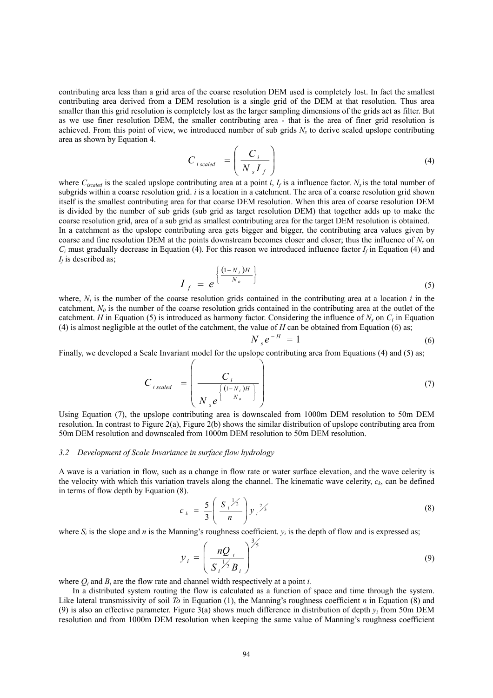contributing area less than a grid area of the coarse resolution DEM used is completely lost. In fact the smallest contributing area derived from a DEM resolution is a single grid of the DEM at that resolution. Thus area smaller than this grid resolution is completely lost as the larger sampling dimensions of the grids act as filter. But as we use finer resolution DEM, the smaller contributing area - that is the area of finer grid resolution is achieved. From this point of view, we introduced number of sub grids  $N<sub>s</sub>$  to derive scaled upslope contributing area as shown by Equation 4.

$$
C_{i \text{ scaled}} = \left(\frac{C_i}{N_s I_f}\right) \tag{4}
$$

where  $C_{iscaled}$  is the scaled upslope contributing area at a point *i*,  $I_f$  is a influence factor.  $N_s$  is the total number of subgrids within a coarse resolution grid. *i* is a location in a catchment. The area of a coarse resolution grid shown itself is the smallest contributing area for that coarse DEM resolution. When this area of coarse resolution DEM is divided by the number of sub grids (sub grid as target resolution DEM) that together adds up to make the coarse resolution grid, area of a sub grid as smallest contributing area for the target DEM resolution is obtained. In a catchment as the upslope contributing area gets bigger and bigger, the contributing area values given by

coarse and fine resolution DEM at the points downstream becomes closer and closer; thus the influence of *N<sub>s</sub>* on  $C_i$  must gradually decrease in Equation (4). For this reason we introduced influence factor  $I_f$  in Equation (4) and  $I_f$  is described as;  $\epsilon$  −

$$
I_f = e^{\left\{\frac{(1-N_i)H}{N_o}\right\}}
$$
 (5)

where,  $N_i$  is the number of the coarse resolution grids contained in the contributing area at a location  $i$  in the catchment,  $N_{0}$  is the number of the coarse resolution grids contained in the contributing area at the outlet of the catchment. *H* in Equation (5) is introduced as harmony factor. Considering the influence of  $N_s$  on  $C_i$  in Equation (4) is almost negligible at the outlet of the catchment, the value of  $H$  can be obtained from Equation (6) as;

$$
N_{s}e^{-H} = 1 \tag{6}
$$

Finally, we developed a Scale Invariant model for the upslope contributing area from Equations (4) and (5) as;

$$
C_{i \text{ scaled}} = \left(\frac{C_i}{N_s e^{\left\{\frac{(1 - N_i)H}{N_o}\right\}}}\right)
$$
(7)

Using Equation (7), the upslope contributing area is downscaled from 1000m DEM resolution to 50m DEM resolution. In contrast to Figure 2(a), Figure 2(b) shows the similar distribution of upslope contributing area from 50m DEM resolution and downscaled from 1000m DEM resolution to 50m DEM resolution.

#### *3.2 Development of Scale Invariance in surface flow hydrology*

A wave is a variation in flow, such as a change in flow rate or water surface elevation, and the wave celerity is the velocity with which this variation travels along the channel. The kinematic wave celerity,  $c_k$ , can be defined in terms of flow depth by Equation (8).

$$
c_{k} = \frac{5}{3} \left( \frac{S_{i}^{1/2}}{n} \right) y_{i}^{2/3}
$$
 (8)

where  $S_i$  is the slope and *n* is the Manning's roughness coefficient.  $y_i$  is the depth of flow and is expressed as;

$$
y_i = \left(\frac{nQ_i}{S_i^{1/2}B_i}\right)^{3/5} \tag{9}
$$

where  $Q_i$  and  $B_i$  are the flow rate and channel width respectively at a point *i*.

In a distributed system routing the flow is calculated as a function of space and time through the system. Like lateral transmissivity of soil *To* in Equation (1), the Manning's roughness coefficient *n* in Equation (8) and (9) is also an effective parameter. Figure 3(a) shows much difference in distribution of depth  $y_i$  from 50m DEM resolution and from 1000m DEM resolution when keeping the same value of Manning's roughness coefficient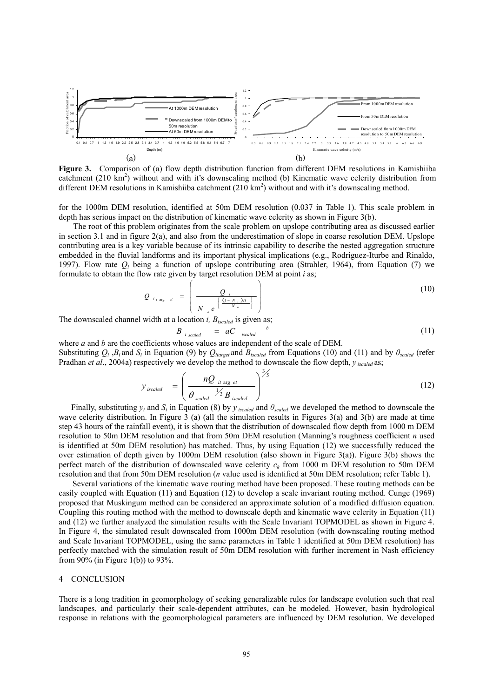

**Figure 3.** Comparison of (a) flow depth distribution function from different DEM resolutions in Kamishiiba catchment (210 km<sup>2</sup>) without and with it's downscaling method (b) Kinematic wave celerity distribution from different DEM resolutions in Kamishiiba catchment  $(210 \text{ km}^2)$  without and with it's downscaling method.

for the 1000m DEM resolution, identified at 50m DEM resolution (0.037 in Table 1). This scale problem in depth has serious impact on the distribution of kinematic wave celerity as shown in Figure 3(b).

The root of this problem originates from the scale problem on upslope contributing area as discussed earlier in section 3.1 and in figure  $2(a)$ , and also from the underestimation of slope in coarse resolution DEM. Upslope contributing area is a key variable because of its intrinsic capability to describe the nested aggregation structure embedded in the fluvial landforms and its important physical implications (e.g., Rodriguez-Iturbe and Rinaldo, 1997). Flow rate *Qi* being a function of upslope contributing area (Strahler, 1964), from Equation (7) we formulate to obtain the flow rate given by target resolution DEM at point *i* as;

$$
Q_{i \text{arg } et} = \left(\frac{Q_i}{N_{s} e^{\left\{\frac{(1-N_i)^H}{N_o}\right\}}}\right)
$$
(10)

The downscaled channel width at a location *i, Biscaled* is given as;

$$
B_{i \text{ scaled}} = aC_{i \text{scaled}}^{b} \tag{11}
$$

where *a* and *b* are the coefficients whose values are independent of the scale of DEM. Substituting  $Q_i$ ,  $B_i$  and  $S_i$  in Equation (9) by  $Q_{i \text{target}}$  and  $B_{i \text{scaled}}$  from Equations (10) and (11) and by  $\theta_{scaled}$  (refer

Pradhan *et al*., 2004a) respectively we develop the method to downscale the flow depth, *y iscaled* as;

$$
y_{\text{ iscaled}} = \left(\frac{nQ_{\text{ it arg et}}}{\theta_{\text{ scaled}} \times 2B_{\text{ iscaled}}}\right)^{3/5}
$$
(12)

Finally, substituting  $y_i$  and  $S_i$  in Equation (8) by  $y_{\text{iscaled}}$  and  $\theta_{\text{scaled}}$  we developed the method to downscale the wave celerity distribution. In Figure 3 (a) (all the simulation results in Figures 3(a) and 3(b) are made at time step 43 hours of the rainfall event), it is shown that the distribution of downscaled flow depth from 1000 m DEM resolution to 50m DEM resolution and that from 50m DEM resolution (Manning's roughness coefficient *n* used is identified at 50m DEM resolution) has matched. Thus, by using Equation (12) we successfully reduced the over estimation of depth given by 1000m DEM resolution (also shown in Figure 3(a)). Figure 3(b) shows the perfect match of the distribution of downscaled wave celerity *ck* from 1000 m DEM resolution to 50m DEM resolution and that from 50m DEM resolution (*n* value used is identified at 50m DEM resolution; refer Table 1).

Several variations of the kinematic wave routing method have been proposed. These routing methods can be easily coupled with Equation (11) and Equation (12) to develop a scale invariant routing method. Cunge (1969) proposed that Muskingum method can be considered an approximate solution of a modified diffusion equation. Coupling this routing method with the method to downscale depth and kinematic wave celerity in Equation (11) and (12) we further analyzed the simulation results with the Scale Invariant TOPMODEL as shown in Figure 4. In Figure 4, the simulated result downscaled from 1000m DEM resolution (with downscaling routing method and Scale Invariant TOPMODEL, using the same parameters in Table 1 identified at 50m DEM resolution) has perfectly matched with the simulation result of 50m DEM resolution with further increment in Nash efficiency from 90% (in Figure 1(b)) to 93%.

#### 4 CONCLUSION

There is a long tradition in geomorphology of seeking generalizable rules for landscape evolution such that real landscapes, and particularly their scale-dependent attributes, can be modeled. However, basin hydrological response in relations with the geomorphological parameters are influenced by DEM resolution. We developed